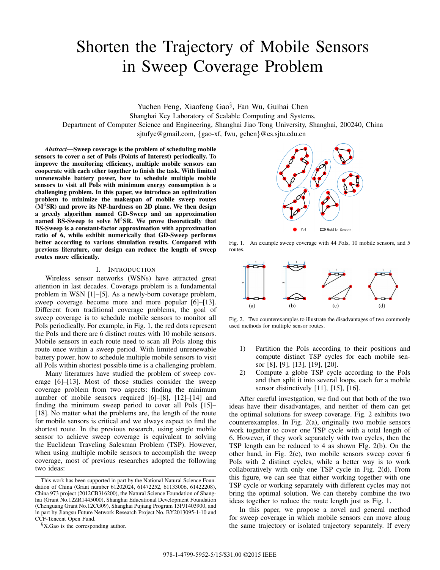# Shorten the Trajectory of Mobile Sensors in Sweep Coverage Problem

Yuchen Feng, Xiaofeng Gao*§*, Fan Wu, Guihai Chen

Shanghai Key Laboratory of Scalable Computing and Systems,

Department of Computer Science and Engineering, Shanghai Jiao Tong University, Shanghai, 200240, China

sjtufyc@gmail.com, {gao-xf, fwu, gchen}@cs.sjtu.edu.cn

*Abstract***—Sweep coverage is the problem of scheduling mobile sensors to cover a set of PoIs (Points of Interest) periodically. To improve the monitoring efficiency, multiple mobile sensors can cooperate with each other together to finish the task. With limited unrenewable battery power, how to schedule multiple mobile sensors to visit all PoIs with minimum energy consumption is a challenging problem. In this paper, we introduce an optimization problem to minimize the makespan of mobile sweep routes (M**<sup>3</sup>**SR) and prove its NP-hardness on 2D plane. We then design a greedy algorithm named GD-Sweep and an approximation named BS-Sweep to solve M**<sup>3</sup>**SR. We prove theoretically that BS-Sweep is a constant-factor approximation with approximation ratio of 6, while exhibit numerically that GD-Sweep performs better according to various simulation results. Compared with previous literature, our design can reduce the length of sweep routes more efficiently.**

# I. INTRODUCTION

Wireless sensor networks (WSNs) have attracted great attention in last decades. Coverage problem is a fundamental problem in WSN [1]–[5]. As a newly-born coverage problem, sweep coverage become more and more popular [6]–[13]. Different from traditional coverage problems, the goal of sweep coverage is to schedule mobile sensors to monitor all PoIs periodically. For example, in Fig. 1, the red dots represent the PoIs and there are 6 distinct routes with 10 mobile sensors. Mobile sensors in each route need to scan all PoIs along this route once within a sweep period. With limited unrenewable battery power, how to schedule multiple mobile sensors to visit all PoIs within shortest possible time is a challenging problem.

Many literatures have studied the problem of sweep coverage [6]–[13]. Most of those studies consider the sweep coverage problem from two aspects: finding the minimum number of mobile sensors required [6]–[8], [12]–[14] and finding the minimum sweep period to cover all PoIs [15]– [18]. No matter what the problems are, the length of the route for mobile sensors is critical and we always expect to find the shortest route. In the previous research, using single mobile sensor to achieve sweep coverage is equivalent to solving the Euclidean Traveling Salesman Problem (TSP). However, when using multiple mobile sensors to accomplish the sweep coverage, most of previous researches adopted the following two ideas:



Fig. 1. An example sweep coverage with 44 PoIs, 10 mobile sensors, and 5 routes.



Fig. 2. Two counterexamples to illustrate the disadvantages of two commonly used methods for multiple sensor routes.

- 1) Partition the PoIs according to their positions and compute distinct TSP cycles for each mobile sensor [8], [9], [13], [19], [20].
- 2) Compute a globe TSP cycle according to the PoIs and then split it into several loops, each for a mobile sensor distinctively [11], [15], [16].

After careful investgation, we find out that both of the two ideas have their disadvantages, and neither of them can get the optimal solutions for sweep coverage. Fig. 2 exhibits two counterexamples. In Fig. 2(a), originally two mobile sensors work together to cover one TSP cycle with a total length of 6. However, if they work separately with two cycles, then the TSP length can be reduced to 4 as shown FIg. 2(b). On the other hand, in Fig. 2(c), two mobile sensors sweep cover 6 PoIs with 2 distinct cycles, while a better way is to work collaboratively with only one TSP cycle in Fig. 2(d). From this figure, we can see that either working together with one TSP cycle or working separately with different cycles may not bring the optimal solution. We can thereby combine the two ideas together to reduce the route length just as Fig. 1.

In this paper, we propose a novel and general method for sweep coverage in which mobile sensors can move along the same trajectory or isolated trajectory separately. If every

This work has been supported in part by the National Natural Science Foundation of China (Grant number 61202024, 61472252, 61133006, 61422208), China 973 project (2012CB316200), the Natural Science Foundation of Shanghai (Grant No.12ZR1445000), Shanghai Educational Development Foundation (Chenguang Grant No.12CG09), Shanghai Pujiang Program 13PJ1403900, and in part by Jiangsu Future Network Research Project No. BY2013095-1-10 and CCF-Tencent Open Fund.

*<sup>§</sup>*X.Gao is the corresponding author.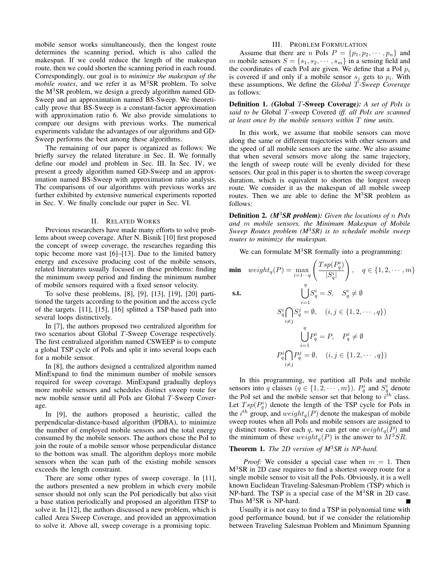mobile sensor works simultaneously, then the longest route determines the scanning period, which is also called the makespan. If we could reduce the length of the makespan route, then we could shorten the scanning period in each round. Correspondingly, our goal is to *minimize the makespan of the mobile routes*, and we refer it as M<sup>3</sup>SR problem. To solve the  $M<sup>3</sup>SR$  problem, we design a greedy algorithm named GD-Sweep and an approximation named BS-Sweep. We theoretically prove that BS-Sweep is a constant-factor approximation with approximation ratio 6. We also provide simulations to compare our designs with previous works. The numerical experiments validate the advantages of our algorithms and GD-Sweep performs the best among these algorithms.

The remaining of our paper is organized as follows: We briefly survey the related literature in Sec. II. We formally define our model and problem in Sec. III. In Sec. IV, we present a greedy algorithm named GD-Sweep and an approximation named BS-Sweep with approximation ratio analysis. The comparisons of our algorithms with previous works are further exhibited by extensive numerical experiments reported in Sec. V. We finally conclude our paper in Sec. VI.

## II. RELATED WORKS

Previous researchers have made many efforts to solve problems about sweep coverage. After N. Bisnik [10] first proposed the concept of sweep coverage, the researches regarding this topic become more vast [6]–[13]. Due to the limited battery energy and excessive producing cost of the mobile sensors, related literatures usually focused on these problems: finding the minimum sweep period and finding the minimum number of mobile sensors required with a fixed sensor velocity.

To solve these problems, [8], [9], [13], [19], [20] partitioned the targets according to the position and the access cycle of the targets. [11], [15], [16] splitted a TSP-based path into several loops distinctively.

In [7], the authors proposed two centralized algorithm for two scenarios about Global T-Sweep Coverage respectively. The first centralized algorithm named CSWEEP is to compute a global TSP cycle of PoIs and split it into several loops each for a mobile sensor.

In [8], the authors designed a centralized algorithm named MinExpand to find the minimum number of mobile sensors required for sweep coverage. MinExpand gradually deploys more mobile sensors and schedules distinct sweep route for new mobile sensor until all PoIs are Global T-Sweep Coverage.

In [9], the authors proposed a heuristic, called the perpendicular-distance-based algorithm (PDBA), to minimize the number of employed mobile sensors and the total energy consumed by the mobile sensors. The authors chose the PoI to join the route of a mobile sensor whose perpendicular distance to the bottom was small. The algorithm deploys more mobile sensors when the scan path of the existing mobile sensors exceeds the length constraint.

There are some other types of sweep coverage. In [11], the authors presented a new problem in which every mobile sensor should not only scan the PoI periodically but also visit a base station periodically and proposed an algorithm ITSP to solve it. In [12], the authors discussed a new problem, which is called Area Sweep Coverage, and provided an approximation to solve it. Above all, sweep coverage is a promising topic.

# III. PROBLEM FORMULATION

Assume that there are *n* PoIs  $P = \{p_1, p_2, \dots, p_n\}$  and m mobile sensors  $S = \{s_1, s_2, \dots, s_m\}$  in a sensing field and the coordinates of each PoI are given. We define that a PoI <sup>p</sup>*i* is covered if and only if a mobile sensor  $s_i$  gets to  $p_i$ . With these assumptions, We define the *Global* T*-Sweep Coverage* as follows:

**Definition 1.** *(***Global** T**-Sweep Coverage***): A set of PoIs is said to be* Global T-sweep Covered *iff. all PoIs are scanned at least once by the mobile sensors within* T *time units.*

In this work, we assume that mobile sensors can move along the same or different trajectories with other sensors and the speed of all mobile sensors are the same. We also assume that when several sensors move along the same trajectory, the length of sweep route will be evenly divided for these sensors. Our goal in this paper is to shorten the sweep coverage duration, which is equivalent to shorten the longest sweep route. We consider it as the makespan of all mobile sweep routes. Then we are able to define the  $M<sup>3</sup>SR$  problem as follows:

**Definition 2.** *(M*<sup>3</sup>*SR problem): Given the locations of* n *PoIs and* m *mobile sensors, the Minimum Makespan of Mobile Sweep Routes problem (M*<sup>3</sup>*SR) is to schedule mobile sweep routes to minimize the makespan.*

We can formulate  $M<sup>3</sup>SR$  formally into a programming:

$$
\min \quad weight_q(P) = \max_{i=1\cdots q} \left( \frac{Tsp(P_q^i)}{|S_q^i|} \right), \quad q \in \{1, 2, \cdots, m\}
$$

s.t.  
\n
$$
\bigcup_{i=1}^{i} S_q^i = S, \quad S_q^i \neq \emptyset
$$
\n
$$
S_q^i \bigcap_{i \neq j} S_q^j = \emptyset, \quad (i, j \in \{1, 2, \dots, q\})
$$
\n
$$
\bigcup_{i=1}^{q} P_q^i = P, \quad P_q^i \neq \emptyset
$$
\n
$$
P_q^i \bigcap_{i \neq j} P_q^j = \emptyset, \quad (i, j \in \{1, 2, \dots, q\})
$$

In this programming, we partition all PoIs and mobile sensors into q classes  $(q \in \{1, 2, \dots, m\})$ .  $P_q^i$  and  $S_q^i$  denote the PoI set and the mobile sensor set that belong to i *th* class. Let  $Tsp(P_q^i)$  denote the length of the TSP cycle for PoIs in<br>the *i*<sup>th</sup> group and weight (*P*) denote the makespan of mobile the  $i^{th}$  group, and  $weight_q(P)$  denote the makespan of mobile<br>sweep routes when all PoIs and mobile sensors are assigned to sweep routes when all PoIs and mobile sensors are assigned to q distinct routes. For each q, we can get one  $weight_q(P)$  and the minimum of these  $weight_q(P)$  is the answer to  $M^3SR$ .

# **Theorem 1.** *The 2D version of M*<sup>3</sup>*SR is NP-hard.*

*Proof:* We consider a special case when  $m = 1$ . Then M<sup>3</sup>SR in 2D case requires to find a shortest sweep route for a single mobile sensor to visit all the PoIs. Obviously, it is a well known Euclidean Traveling-Salesman-Problem (TSP) which is NP-hard. The TSP is a special case of the  $M<sup>3</sup>SR$  in 2D case. Thus  $M^3$ SR is NP-hard.

Usually it is not easy to find a TSP in polynomial time with good performance bound, but if we consider the relationship between Traveling Salesman Problem and Minimum Spanning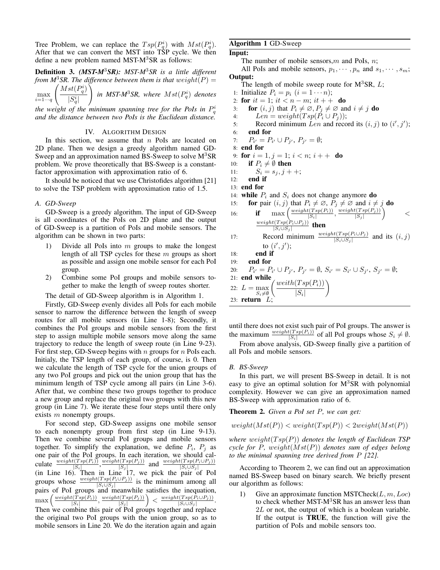Tree Problem, we can replace the  $Tsp(P_q^i)$  with  $Mst(P_q^i)$ .<br>After that we can convert the MST into TSP cycle. We then After that we can convert the MST into TSP cycle. We then define a new problem named MST- $M<sup>3</sup>$ SR as follows:

**Definition 3.** *(MST-M*3*SR): MST-M*3*SR is a little different from M*<sup>3</sup>*SR. The difference between them is that*  $weight(P) =$ 

$$
\max_{i=1\cdots q} \left( \frac{Mst(P_q^i)}{|S_q^i|} \right) \text{ in MST-}M^3SR, \text{ where } Mst(P_q^i) \text{ denotes}
$$
  
the weight of the minimum spanning tree for the Pols in  $P_q^i$ 

*q and the distance between two PoIs is the Euclidean distance.*

#### IV. ALGORITHM DESIGN

In this section, we assume that  $n$  PoIs are located on 2D plane. Then we design a greedy algorithm named GD-Sweep and an approximation named BS-Sweep to solve  $M<sup>3</sup>SR$ problem. We prove theoretically that BS-Sweep is a constantfactor approximation with approximation ratio of 6.

It should be noticed that we use Christofides algorithm [21] to solve the TSP problem with approximation ratio of 1.5.

## *A. GD-Sweep*

GD-Sweep is a greedy algorithm. The input of GD-Sweep is all coordinates of the PoIs on 2D plane and the output of GD-Sweep is a partition of PoIs and mobile sensors. The algorithm can be shown in two parts:

- 1) Divide all PoIs into  $m$  groups to make the longest length of all TSP cycles for these  $m$  groups as short as possible and assign one mobile sensor for each PoI group.
- 2) Combine some PoI groups and mobile sensors together to make the length of sweep routes shorter.

The detail of GD-Sweep algorithm is in Algorithm 1.

Firstly, GD-Sweep evenly divides all PoIs for each mobile sensor to narrow the difference between the length of sweep routes for all mobile sensors (in Line 1-8); Secondly, it combines the PoI groups and mobile sensors from the first step to assign multiple mobile sensors move along the same trajectory to reduce the length of sweep route (in Line 9-23). For first step, GD-Sweep begins with  $n$  groups for  $n$  PoIs each. Initialy, the TSP length of each group, of course, is 0. Then we calculate the length of TSP cycle for the union groups of any two PoI groups and pick out the union group that has the minimum length of TSP cycle among all pairs (in Line 3-6). After that, we combine these two groups together to produce a new group and replace the original two groups with this new group (in Line 7). We iterate these four steps until there only exists  $m$  nonempty groups.

For second step, GD-Sweep assigns one mobile sensor to each nonempty group from first step (in Line 9-13). Then we combine several PoI groups and mobile sensors together. To simplify the explanation, we define  $P_i$ ,  $P_j$  as one pair of the PoI groups. In each iteration, we should calculate  $\frac{weight(Tsp(P_i))}{|S_i|}$ ,  $\frac{weight(Tsp(P_i))}{|S_i|}$  and  $\frac{weight(Tsp(P_i \cup P_j))}{|S_i \cup S_j|}$ <br>(in I ine 16) Then in I ine 17, we nick the pair of Pol  $\frac{\text{culate}}{|S_i|} \frac{\text{weight}(1 \text{ }\text{sp}(P_i))}{|S_i|}, \frac{\text{weight}(1 \text{ }\text{sp}(P_i))}{|S_i|} \text{ and } \frac{\text{weight}(1 \text{ }\text{sp}(P_i \cup P_j))}{|S_i \cup S_j|}$ <br>(in Line 16). Then in Line 17, we pick the pair of PoI groups whose  $\frac{weight(Tsp(P_i \cup P_j))}{|S_i \cup S_j|}$  is the minimum among all<br>pairs of PoI groups and meanwhile satisfies the inequation pairs of PoI groups and meanwhile satisfies the inequation,  $\max\left(\frac{weight(Tsp(P_i))}{|S_i|}, \frac{weight(Tsp(P_j))}{|S_j|}\right) < \frac{weight(Tsp(P_i \cup P_j))}{|S_i \cup S_j|}.$ <br>Then we combine this peir of BeL groups together and rapiece Then we combine this pair of PoI groups together and replace the original two PoI groups with the union group, so as to mobile sensors in Line 20. We do the iteration again and again

# **Algorithm 1** GD-Sweep

### **Input:**

The number of mobile sensors, m and PoIs,  $n$ ;

All PoIs and mobile sensors,  $p_1, \dots, p_n$  and  $s_1, \dots, s_m$ ; **Output:**

The length of mobile sweep route for  $M<sup>3</sup>SR$ ,  $L$ ;

- 1: Initialize  $P_i = p_i$   $(i = 1 \cdots n);$
- 2: **for**  $it = 1$ ;  $it < n m$ ;  $it + +$  **do**
- 3: **for**  $(i, j)$  that  $P_i \neq \emptyset, P_j \neq \emptyset$  and  $i \neq j$  **do**<br>4: *Len* = *weight*( $Tsp(P_i \cup P_j)$ );
- 4:  $Len = weight(Tsp(\tilde{P}_i \cup P_j));$ <br>5: Record minimum Len and reco
- 5: Record minimum Len and record its  $(i, j)$  to  $(i', j')$ ;
- 6: **end for**

7:  $P_{i'} =$ <br>8: **end for**  $P_i = P_{i'} \cup P_{j'}, P_{j'} = \emptyset;$ 

9: **for** 
$$
i = 1, j = 1; i < n; i + +
$$
 **do**

10: **if**  $P_i \neq \emptyset$  **then** 

11: 
$$
S_i = s_j, j + +;
$$
  
12: **end if**

13: **end for**

14: **while**  $P_i$  and  $S_i$  does not change anymore **do**<br>15: **for** pair  $(i, j)$  that  $P_i \neq \emptyset$ ,  $P_i \neq \emptyset$  and  $i \neq j$ 

- 15: **for** pair  $(i, j)$  that  $P_i \neq \emptyset$ ,  $P_j \neq \emptyset$  and  $i \neq j$  **do**<br>16: **if** max  $\left(\frac{weight(Tsp(P_i))}{p} \cdot \frac{weight(Tsp(P_j))}{p}\right)$ 16: **if**  $\max\left(\frac{\text{weight}(Tsp(P_i))}{|S_i|}, \frac{\text{weight}(Tsp(P_j))}{|S_j|}\right)$  $\setminus$  $\lt$
- $\frac{weight(Tsp(P_i \cup P_j))}{|S_i \cup S_j|}$  then 17: Record minimum  $\frac{weight(Tsp(P_i \cup P_j))}{|S_i \cup S_j|}$  and its  $(i, j)$

to  $(i',j')$ ;

18: **end if**

19: **end for**

20:  $P_{i'} = P_{i}$ <br>21: **end while**  $\mathcal{L}_r = P_{i'} \cup P_{j'}, \ P_{j'} = \emptyset, \ S_{i'} = S_{i'} \cup S_{j'}, \ S_{j'} = \emptyset;$ 22:  $L = \max$  $\left(\frac{weith(Tsp(P_i))}{\log P_i}\right)$  $|S_i|$  $\setminus$ 

*S*<sub>*i*</sub>≠Ø<br>∙n *I* 23: **return** L;

until there does not exist such pair of PoI groups. The answer is the maximum  $\frac{weight(Tsp(P_i))}{|S_i|}$  of all PoI groups whose  $S_i \neq \emptyset$ .<br>From above analysis GD Sweep finally give a portition of From above analysis, GD-Sweep finally give a partition of

all PoIs and mobile sensors.

## *B. BS-Sweep*

In this part, we will present BS-Sweep in detail. It is not easy to give an optimal solution for  $M<sup>3</sup>SR$  with polynomial complexity. However we can give an approximation named BS-Sweep with approximation ratio of 6.

**Theorem 2.** *Given a PoI set* P*, we can get:*

 $weight(Mst(P)) < weight(Tsp(P)) < 2weight(Mst(P))$ 

*where*  $weight(Tsp(P))$  *denotes the length of Euclidean TSP cycle for* P*,* weight(Mst(P)) *denotes sum of edges belong to the minimal spanning tree derived from* P *[22].*

According to Theorem 2, we can find out an approximation named BS-Sweep based on binary search. We briefly present our algorithm as follows:

1) Give an approximate function MSTCheck $(L, m, Loc)$ to check whether MST-M<sup>3</sup>SR has an answer less than 2L or not, the output of which is a boolean variable. If the output is **TRUE**, the function will give the partition of PoIs and mobile sensors too.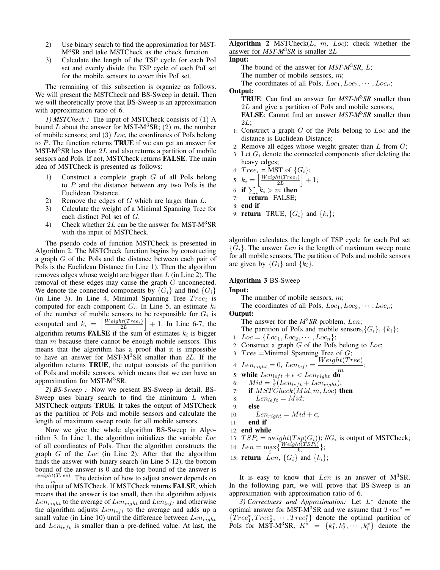- 2) Use binary search to find the approximation for MST-M<sup>3</sup>SR and take MSTCheck as the check function.
- 3) Calculate the length of the TSP cycle for each PoI set and evenly divide the TSP cycle of each PoI set for the mobile sensors to cover this PoI set.

The remaining of this subsection is organize as follows. We will present the MSTCheck and BS-Sweep in detail. Then we will theoretically prove that BS-Sweep is an approximation with approximation ratio of 6.

*1) MSTCheck :* The input of MSTCheck consists of (1) A bound L about the answer for MST-M<sup>3</sup>SR; (2) m, the number of mobile sensors; and  $(3)$  Loc, the coordinates of PoIs belong to P. The function returns **TRUE** if we can get an answer for MST-M<sup>3</sup>SR less than 2L and also returns a partition of mobile sensors and PoIs. If not, MSTCheck returns **FALSE**. The main idea of MSTCheck is presented as follows:

- 1) Construct a complete graph G of all PoIs belong to  $P$  and the distance between any two PoIs is the Euclidean Distance.
- 2) Remove the edges of  $G$  which are larger than  $L$ .
- 3) Calculate the weight of a Minimal Spanning Tree for each distinct PoI set of G.
- 4) Check whether  $2L$  can be the answer for MST-M<sup>3</sup>SR with the input of MSTCheck.

The pseudo code of function MSTCheck is presented in Algorithm 2. The MSTCheck function begins by constructing a graph G of the PoIs and the distance between each pair of PoIs is the Euclidean Distance (in Line 1). Then the algorithm removes edges whose weight are bigger than  $L$  (in Line 2). The removal of these edges may cause the graph G unconnected. We denote the connected components by  ${G_i}$  and find  ${G_i}$ (in Line 3). In Line 4, Minimal Spanning Tree  $Tree_i$  is computed for each component  $G_i$ . In Line 5, an estimate  $k_i$ of the number of mobile sensors to be responsible for <sup>G</sup>*i* is computed and  $k_i =$  $\frac{Weight(Tree_i)}{2L}$ 2*L*  $+ 1$ . In Line 6-7, the algorithm returns **FALSE** if the sum of estimates  $k_i$  is bigger than  $m$  because there cannot be enough mobile sensors. This means that the algorithm has a proof that it is impossible to have an answer for MST-M<sup>3</sup>SR smaller than  $2L$ . If the algorithm returns **TRUE**, the output consists of the partition of PoIs and mobile sensors, which means that we can have an approximation for MST-M<sup>3</sup>SR.

*2) BS-Sweep :* Now we present BS-Sweep in detail. BS-Sweep uses binary search to find the minimum  $L$  when MSTCheck outputs **TRUE**. It takes the output of MSTCheck as the partition of PoIs and mobile sensors and calculate the length of maximum sweep route for all mobile sensors.

Now we give the whole algorithm BS-Sweep in Algorithm 3. In Line 1, the algorithm initializes the variable Loc of all coordinates of PoIs. Then the algorithm constructs the graph  $G$  of the  $Loc$  (in Line 2). After that the algorithm finds the answer with binary search (in Line 5-12), the bottom bound of the answer is 0 and the top bound of the answer is  $\frac{weight(Tree)}{m}$ . The decision of how to adjust answer depends on the output of MSTCheck. If MSTCheck returns **FALSE**, which the output of MSTCheck. If MSTCheck returns **FALSE**, which means that the answer is too small, then the algorithm adjusts  $Len_{right}$  to the average of  $Len_{right}$  and  $Len_{left}$  and otherwise the algorithm adjusts  $Len_{left}$  to the average and adds up a small value (in Line 10) until the difference between Len*right* and  $Len_{left}$  is smaller than a pre-defined value. At last, the

**Algorithm 2** MSTCheck(L, m, Loc): check whether the answer for *MST-M*3*SR* is smaller 2L

#### **Input:**

The bound of the answer for *MST-M*3*SR*, L;

The number of mobile sensors,  $m$ ;

The coordinates of all PoIs,  $Loc_1, Loc_2, \cdots, Loc_n;$ 

## **Output:**

**TRUE**: Can find an answer for *MST-M*3*SR* smaller than 2L and give a partition of PoIs and mobile sensors; **FALSE**: Cannot find an answer *MST-M*3*SR* smaller than 2L;

- 1: Construct a graph  $G$  of the PoIs belong to  $Loc$  and the distance is Euclidean Distance;
- 2: Remove all edges whose weight greater than  $L$  from  $G$ ;
- 3: Let <sup>G</sup>*i* denote the connected components after deleting the heavy edges;

4: 
$$
Tree_i = \text{MST of } \{G_i\};
$$

5: 
$$
k_i = \left[\frac{Weight(Tree_i)}{2L}\right] + 1;
$$

$$
\begin{array}{c}\n\therefore n_i = \begin{bmatrix} 2L \\ k \end{bmatrix} \\
\therefore \text{ if } \nabla \cdot k_i > m \text{ then }\n\end{array}
$$

6: **if**  $\sum_i k_i > m$  then<br>7. **return** FALSE: 7: **return** FALSE;

8: **end if**

9: **return** TRUE,  $\{G_i\}$  and  $\{k_i\}$ ;

algorithm calculates the length of TSP cycle for each PoI set  ${G<sub>i</sub>}$ . The answer *Len* is the length of maximum sweep route for all mobile sensors. The partition of PoIs and mobile sensors are given by  $\{G_i\}$  and  $\{k_i\}$ .

# **Algorithm 3** BS-Sweep

## **Input:**

The number of mobile sensors, m;

The coordinates of all PoIs,  $Loc_1, Loc_2, \cdots, Loc_n$ ;

**Output:**

The answer for the  $M^3SR$  problem, Len;

- The partition of PoIs and mobile sensors,  $\{G_i\}$ ,  $\{k_i\}$ ;
- 1:  $Loc = \{Loc_1, Loc_2, \cdots, Loc_n\};$
- 2: Construct a graph  $G$  of the PoIs belong to  $Loc$ ;
- 3:  $Tree = \text{Minimal Spanning Tree of } G;$
- 4: Len<sub>right</sub> = 0, Len<sub>left</sub> =  $\frac{Weight(Tree)}{m}$ ;
- 
- 5: **while**  $Len_{left} + \epsilon < Len_{right}$ <br>  $Mid = \frac{1}{2}(Len_{right} + Len_{right}$
- 6:  $Mid = \frac{1}{2}(Len_{left} + Len_{right});$ <br>7. **if**  $MSTCheck(Mid, m, Log)$
- 7: **if**  $MST\ddot{C}heck(Mid, m, Loc)$  then
- 8:  $Len_{left} = Mid;$ <br>9: **else**
- 9: **else**

10: 
$$
Len_{right} = Mid + \epsilon;
$$
  
11. **and if**

- 11: **end if**
- 12: **end while**
- 13:  $TSP_i = weight(Tsp(G_i))$ ; //G<sub>i</sub> is output of MSTCheck;
- 14:  $Len = \max_{i} \{ \frac{Weight(TSP_i)}{k_i} \};$ <br>
15: **return**  $Len \{G_i\}$  and  $\{k_i\}$
- 15: **return** Len,  $\{G_i\}$  and  $\{k_i\}$ ;

It is easy to know that  $Len$  is an answer of  $M<sup>3</sup>SR$ . In the following part, we will prove that BS-Sweep is an approximation with approximation ratio of 6.

*3) Correctness and Approximation:* Let L<sup>∗</sup> denote the optimal answer for MST-M<sup>3</sup>SR and we assume that  $Tree^* =$  ${Tree_1^*, Tree_2^*, \cdots, Tree_l^*}$  denote the optimal partition of  $Post$  for MST-M<sup>3</sup>SR  $K^* = \{k^*, k^*, \cdots, k^*\}$  denote the PoIs for MST-M<sup>3</sup>SR,  $K^* = \{k_1^*, k_2^*, \cdots, k_l^*\}$  denote the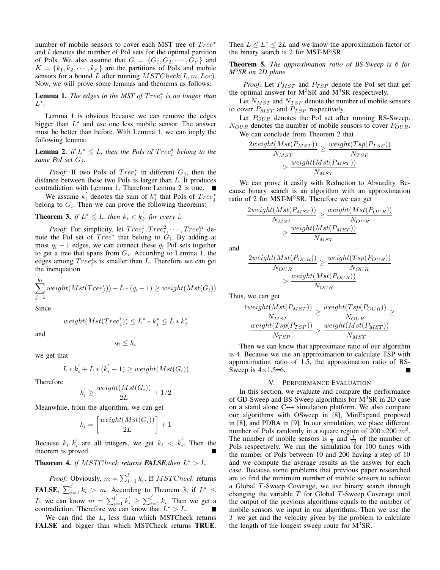number of mobile sensors to cover each MST tree of  $Tree^*$ and l denotes the number of PoI sets for the optimal partition of PoIs. We also assume that  $G = \{G_1, G_2, \dots, G_{l'}\}$  and  $K = \{k_1, k_2, \dots, k_{l'}\}$  are the partitions of PoIs and mobile  $K = \{k_1, k_2, \dots, k_{l'}\}$  are the partitions of PoIs and mobile<br>sensors for a bound L after running  $MSTCheck(L, m, Loc)$ sensors for a bound L after running  $MSTCheck(L, m, Loc)$ . Now, we will prove some lemmas and theorems as follows:

**Lemma 1.** *The edges in the MST of Tree<sub>i</sub> is no longer than*  $L^*$ L∗*.*

Lemma 1 is obvious because we can remove the edges bigger than  $L^*$  and use one less mobile sensor. The answer must be better than before. With Lemma 1, we can imply the following lemma:

**Lemma 2.** *if*  $L^* \leq L$ , then the PoIs of  $Tree_i^*$  belong to the same PoI set  $G_i$ . *same PoI set*  $G_i$ .

*Proof:* If two PoIs of  $Tree_i^*$  in different  $G_j$ , then the nee between these two PoIs is larger than L. It produces distance between these two PoIs is larger than L. It produces contradiction with Lemma 1. Therefore Lemma 2 is true.

We assume  $k'_i$  denotes the sum of  $k_j^*$  that PoIs of  $Tree_j^*$ <br>*i* on  $G_i$ . Then we can prove the following theorems: *j* belong to  $G_i$ . Then we can prove the following theorems:

**Theorem 3.** *if*  $L^* \leq L$ *, then*  $k_i \leq k'_i$ *, for every i.* 

*Proof:* For simplicity, let  $Tree_i^1, Tree_i^2, \cdots, Tree_i^{q_i}$  determined the PoI set of  $Tree_i^*$  that belong to  $G_i$ . By adding at note the PoI set of  $Tree^*$  that belong to  $G_i$ . By adding at most  $q_i - 1$  edges, we can connect these  $q_i$  PoI sets together to get a tree that spans from <sup>G</sup>*i*. According to Lemma 1, the edges among  $Tree_i^2$ s is smaller than L. Therefore we can get the inenquation the inenquation

$$
\sum_{j=1}^{q_i} weight(Mst(Tree_j^i)) + L*(q_i - 1) \geq weight(Mst(G_i))
$$

Since

$$
weight(Mst(Tree_j^i)) \le L^* * k_j^* \le L * k_j^*
$$

and

$$
q_i \leq k_i^{'}
$$

*j*

we get that

$$
L * k'_i + L * (k'_i - 1) \ge weight(Mst(G_i))
$$

Therefore

$$
k_i^{'} \ge \frac{weight(Mst(G_i))}{2L} + 1/2
$$

Meanwhile, from the algorithm, we can get

$$
k_i = \left[\frac{weight(Mst(G_i))}{2L}\right] + 1
$$

Because  $k_i, k'_i$  are all integers, we get  $k_i < k'_i$ . Then the theorem is proved theorem is proved.

**Theorem 4.** *if*  $MSTCheck$  *returns FALSE,then*  $L^* > L$ *.* 

*Proof:* Obviously,  $m = \sum_{i=1}^{l'} k'_i$ . If *MSTCheck* returns **FALSE**,  $\sum_{i=1}^{l'} k_i > m$ . According to Theorem 3, if  $L^* \leq$ *L*, we can know  $m = \sum_{i=1}^{l'} k'_i \ge \sum_{i=1}^{l'} k_i$ . Then we get a contradiction. Therefore we can know that *L*<sup>∗</sup> > *L*. ■

We can find the  $L$ , less than which MSTCheck returns **FALSE** and bigger than which MSTCheck returns **TRUE**. Then  $L \leq L^* \leq 2L$  and we know the approximation factor of the binary search is 2 for MST-M3SR.

**Theorem 5.** *The approximation ratio of BS-Sweep is 6 for M*3*SR on 2D plane.*

*Proof:* Let <sup>P</sup>*MST* and <sup>P</sup>*TSP* denote the PoI set that get the optimal answer for  $M<sup>3</sup>SR$  and  $M<sup>3</sup>SR$  respectively.

Let  $N_{MST}$  and  $N_{TSP}$  denote the number of mobile sensors to cover <sup>P</sup>*MST* and <sup>P</sup>*TSP* respectively.

Let  $P_{OUR}$  denotes the PoI set after running BS-Sweep. <sup>N</sup>*OUR* denotes the number of mobile sensors to cover <sup>P</sup>*OUR*. We can conclude from Theorem 2 that

$$
\frac{2weight(Mst(P_{MST}))}{N_{MST}} \ge \frac{weight(Tsp(P_{TSP}))}{N_{TSP}}
$$

$$
\ge \frac{weight(Mst(P_{MST}))}{N_{MST}}
$$

We can prove it easily with Reduction to Absurdity. Because binary search is an algorithm with an approximation ratio of 2 for MST-M<sup>3</sup>SR. Therefore we can get

$$
\frac{2weight(Mst(P_{MST}))}{N_{MST}} \ge \frac{weight(Mst(P_{OUR}))}{N_{OUR}}
$$

$$
\ge \frac{weight(Mst(P_{MST}))}{N_{MST}}
$$

and

$$
\frac{2weight(Mst(P_{OUR}))}{N_{OUR}} \ge \frac{weight(Tsp(P_{OUR}))}{N_{OUR}}
$$

$$
\ge \frac{weight(Mst(P_{OUR}))}{N_{OUR}}
$$

Thus, we can get

$$
\frac{4weight(Mst(P_{MST}))}{N_{MST}} \ge \frac{weight(Tsp(P_{OUR}))}{N_{OUR}} \ge \frac{weight(Tsp(P_{TSP}))}{N_{MST}}
$$

Then we can know that approximate ratio of our algorithm is 4. Because we use an approximation to calculate TSP with approximation ratio of 1.5, the approximation ratio of BS-Sweep is  $4 \times 1.5 = 6$ .

### V. PERFORMANCE EVALUATION

In this section, we evaluate and compare the performance of GD-Sweep and BS-Sweep algorithms for M<sup>3</sup>SR in 2D case on a stand alone C++ simulation platform. We also compare our algorithms with OSweep in [8], MinExpand proposed in [8], and PDBA in [9]. In our simulation, we place different number of PoIs randomly in a square region of  $200 \times 200$   $m^2$ . The number of mobile sensors is  $\frac{1}{5}$  and  $\frac{1}{10}$  of the number of PoIs respectively. We run the simulation for 100 times with the number of PoIs between 10 and 200 having a step of 10 and we compute the average results as the answer for each case. Because some problems that previous paper researched are to find the minimum number of mobile sensors to achieve a Global T-Sweep Coverage, we use binary search through changing the variable  $T$  for Global  $T$ -Sweep Coverage until the output of the previous algorithms equals to the number of mobile sensors we input in our algorithms. Then we use the  $T$  we get and the velocity given by the problem to calculate the length of the longest sweep route for  $M<sup>3</sup>SR$ .